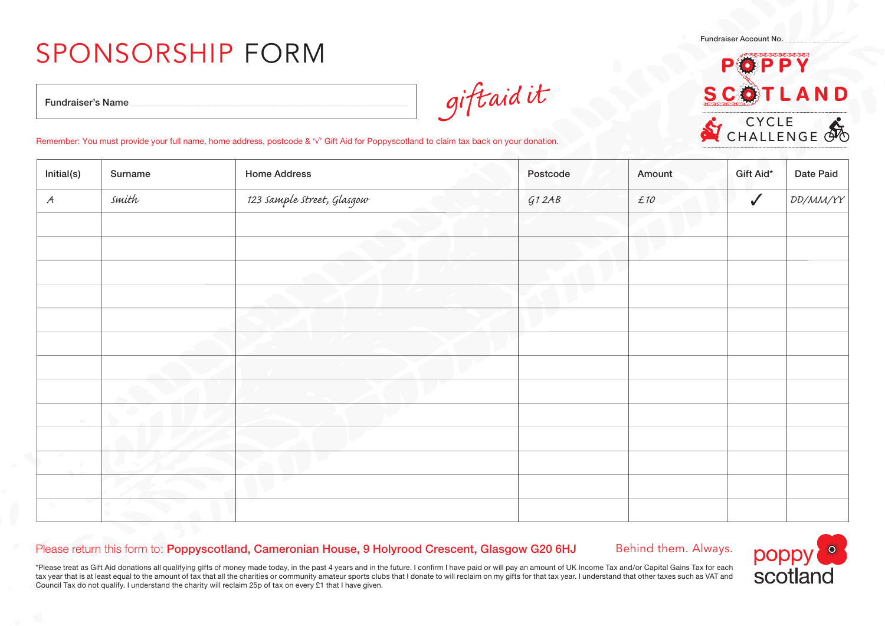## SPONSORSHIP FORM

Fundraiser Account No.

## D E **ND** CYCLE CHALLENGE<sup>O</sup>

Fundraiser's Name

giftaidit

## Remember: You must provide your full name, home address, postcode & '√' Gift Aid for Poppyscotland to claim tax back on your donation.

| Initial(s)    | Surname | <b>Home Address</b>        | Postcode | Amount | Gift Aid*    | Date Paid |
|---------------|---------|----------------------------|----------|--------|--------------|-----------|
| $\mathcal{A}$ | smith   | 123 sample street, Glasgow | G12AB    | £10    | $\checkmark$ | DD/MM/YY  |
|               |         |                            |          |        |              |           |
|               |         |                            |          |        |              |           |
|               |         |                            |          |        |              |           |
|               |         |                            |          |        |              |           |
|               |         |                            |          |        |              |           |
|               |         |                            |          |        |              |           |
|               |         |                            |          |        |              |           |
|               |         |                            |          |        |              |           |
|               |         |                            |          |        |              |           |
|               |         |                            |          |        |              |           |
|               |         |                            |          |        |              |           |
|               |         |                            |          |        |              |           |
|               |         |                            |          |        |              |           |

## Please return this form to: Poppyscotland, Cameronian House, 9 Holyrood Crescent, Glasgow G20 6HJ

Behind them. Always.

\*Please treat as Gift Aid donations all qualifying gifts of money made today, in the past 4 years and in the future. I confirm I have paid or will pay an amount of UK Income Tax and/or Capital Gains Tax for each tax year that is at least equal to the amount of tax that all the charities or community amateur sports clubs that I donate to will reclaim on my gifts for that tax year. I understand that other taxes such as VAT and Council Tax do not qualify. I understand the charity will reclaim 25p of tax on every £1 that I have given.